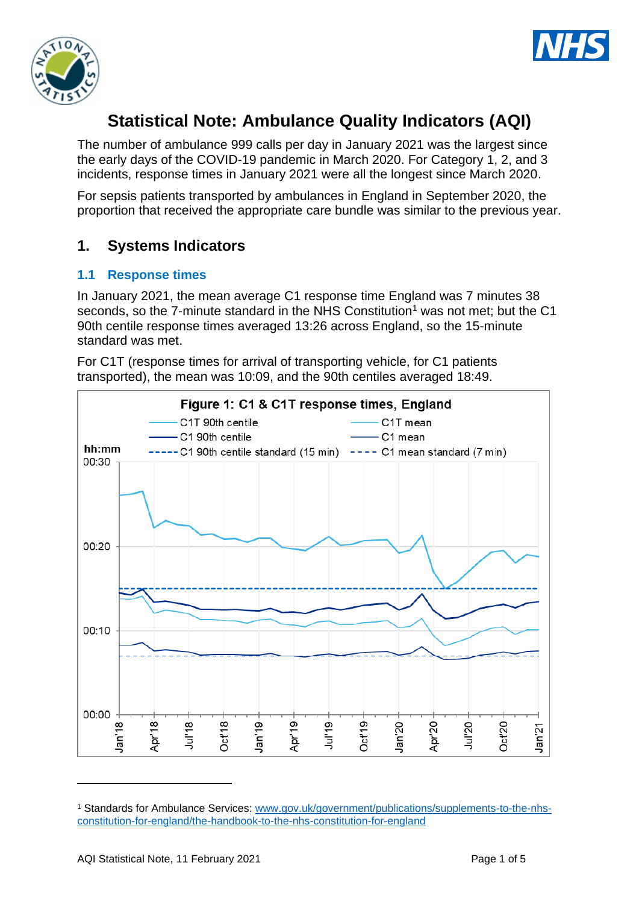



# **Statistical Note: Ambulance Quality Indicators (AQI)**

The number of ambulance 999 calls per day in January 2021 was the largest since the early days of the COVID-19 pandemic in March 2020. For Category 1, 2, and 3 incidents, response times in January 2021 were all the longest since March 2020.

For sepsis patients transported by ambulances in England in September 2020, the proportion that received the appropriate care bundle was similar to the previous year.

## **1. Systems Indicators**

#### **1.1 Response times**

In January 2021, the mean average C1 response time England was 7 minutes 38 seconds, so the 7-minute standard in the NHS Constitution<sup>1</sup> was not met; but the C1 90th centile response times averaged 13:26 across England, so the 15-minute standard was met.

For C1T (response times for arrival of transporting vehicle, for C1 patients transported), the mean was 10:09, and the 90th centiles averaged 18:49.



<sup>1</sup> Standards for Ambulance Services: www.gov.uk/government/publications/supplements-to-the-nhsconstitution-for-england/the-handbook-to-the-nhs-constitution-for-england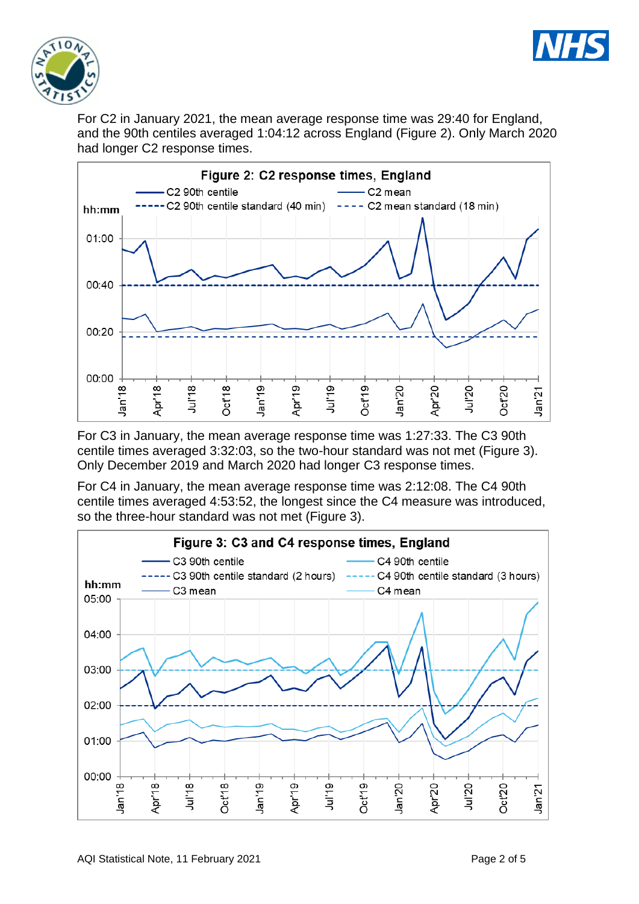



For C2 in January 2021, the mean average response time was 29:40 for England, and the 90th centiles averaged 1:04:12 across England (Figure 2). Only March 2020 had longer C2 response times.



For C3 in January, the mean average response time was 1:27:33. The C3 90th centile times averaged 3:32:03, so the two-hour standard was not met (Figure 3). Only December 2019 and March 2020 had longer C3 response times.

For C4 in January, the mean average response time was 2:12:08. The C4 90th centile times averaged 4:53:52, the longest since the C4 measure was introduced, so the three-hour standard was not met (Figure 3).

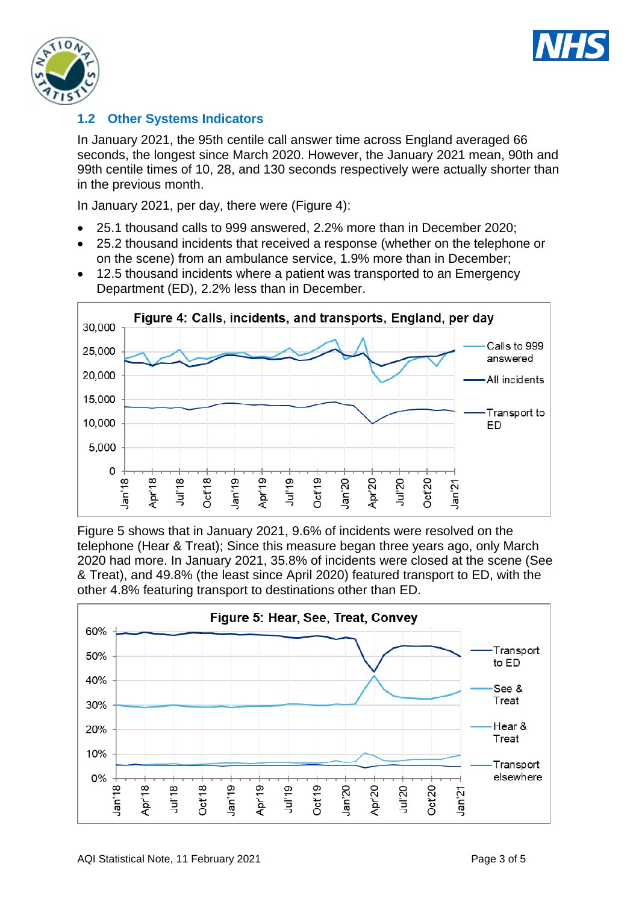



### **1.2 Other Systems Indicators**

In January 2021, the 95th centile call answer time across England averaged 66 seconds, the longest since March 2020. However, the January 2021 mean, 90th and 99th centile times of 10, 28, and 130 seconds respectively were actually shorter than in the previous month.

In January 2021, per day, there were (Figure 4):

- 25.1 thousand calls to 999 answered, 2.2% more than in December 2020;
- 25.2 thousand incidents that received a response (whether on the telephone or on the scene) from an ambulance service, 1.9% more than in December;
- 12.5 thousand incidents where a patient was transported to an Emergency Department (ED), 2.2% less than in December.



Figure 5 shows that in January 2021, 9.6% of incidents were resolved on the telephone (Hear & Treat); Since this measure began three years ago, only March 2020 had more. In January 2021, 35.8% of incidents were closed at the scene (See & Treat), and 49.8% (the least since April 2020) featured transport to ED, with the other 4.8% featuring transport to destinations other than ED.

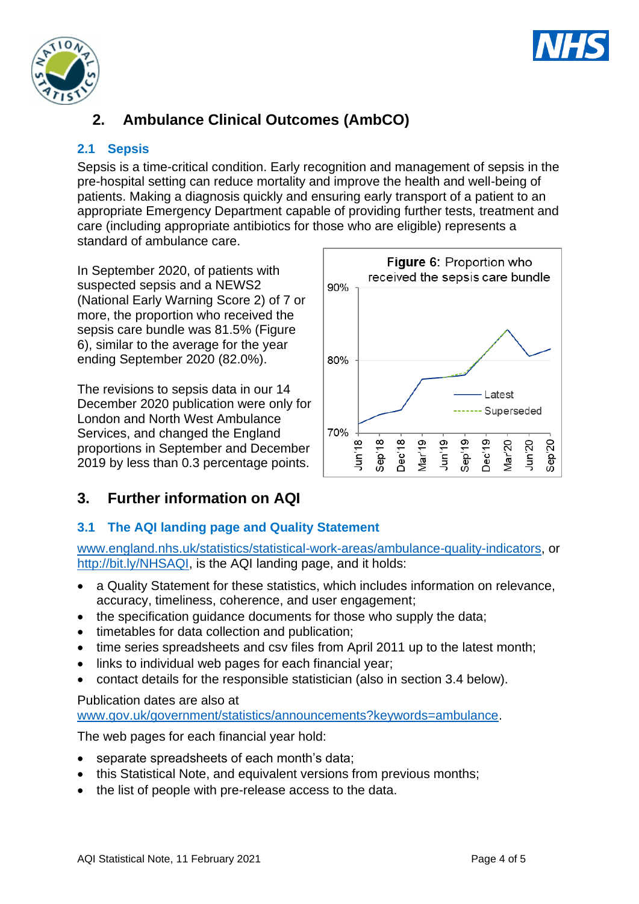



# **2. Ambulance Clinical Outcomes (AmbCO)**

## **2.1 Sepsis**

Sepsis is a time-critical condition. Early recognition and management of sepsis in the pre-hospital setting can reduce mortality and improve the health and well-being of patients. Making a diagnosis quickly and ensuring early transport of a patient to an appropriate Emergency Department capable of providing further tests, treatment and care (including appropriate antibiotics for those who are eligible) represents a standard of ambulance care.

In September 2020, of patients with suspected sepsis and a NEWS2 (National Early Warning Score 2) of 7 or more, the proportion who received the sepsis care bundle was 81.5% (Figure 6), similar to the average for the year ending September 2020 (82.0%).

The revisions to sepsis data in our 14 December 2020 publication were only for London and North West Ambulance Services, and changed the England proportions in September and December 2019 by less than 0.3 percentage points.



# **3. Further information on AQI**

## **3.1 The AQI landing page and Quality Statement**

[www.england.nhs.uk/statistics/statistical-work-areas/ambulance-quality-indicators,](http://www.england.nhs.uk/statistics/statistical-work-areas/ambulance-quality-indicators) or [http://bit.ly/NHSAQI,](http://bit.ly/NHSAQI) is the AQI landing page, and it holds:

- a Quality Statement for these statistics, which includes information on relevance, accuracy, timeliness, coherence, and user engagement;
- the specification quidance documents for those who supply the data;
- timetables for data collection and publication:
- time series spreadsheets and csv files from April 2011 up to the latest month;
- links to individual web pages for each financial year;
- contact details for the responsible statistician (also in section 3.4 below).

#### Publication dates are also at

[www.gov.uk/government/statistics/announcements?keywords=ambulance.](http://www.gov.uk/government/statistics/announcements?keywords=ambulance)

The web pages for each financial year hold:

- separate spreadsheets of each month's data;
- this Statistical Note, and equivalent versions from previous months:
- the list of people with pre-release access to the data.